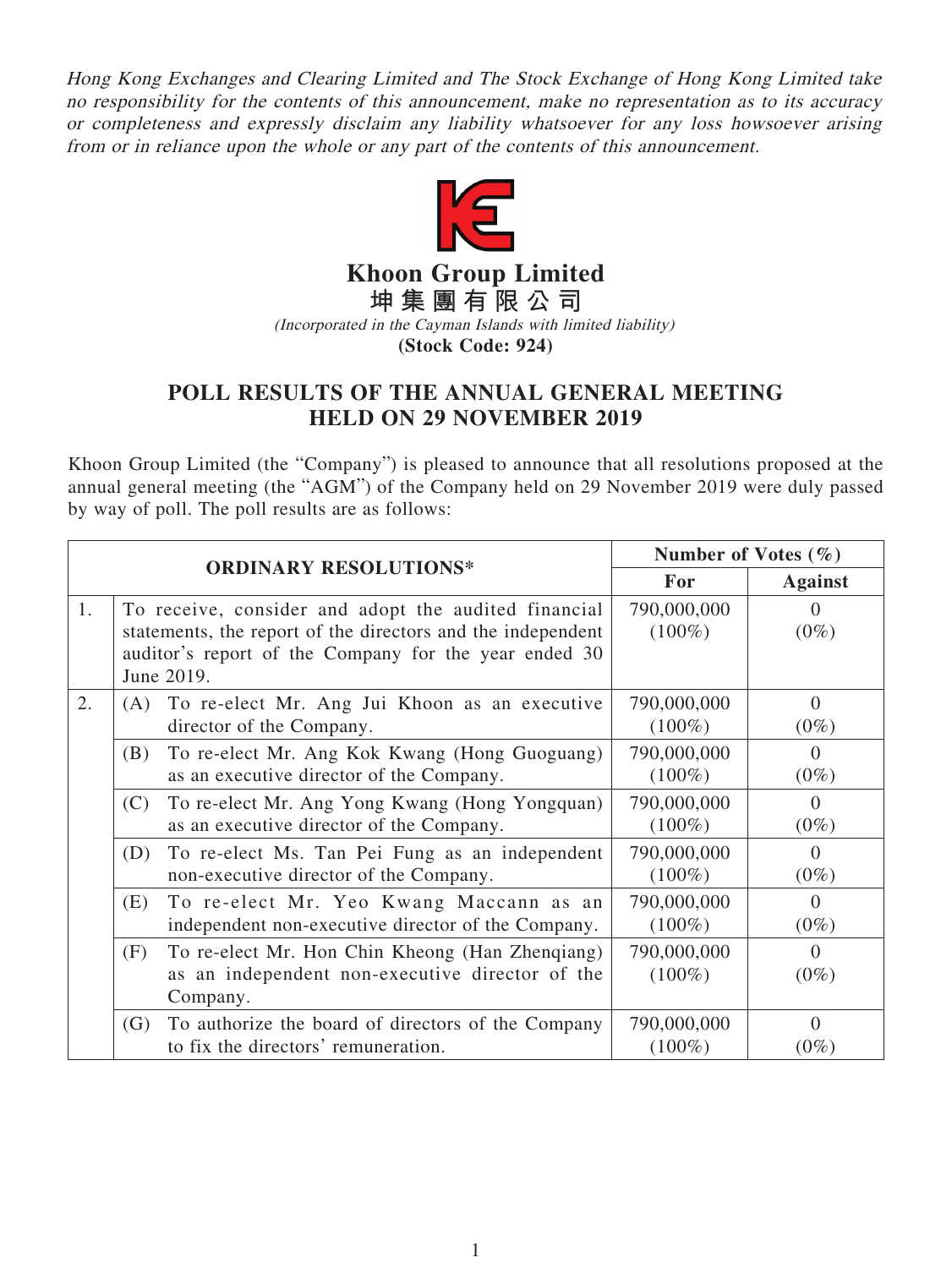Hong Kong Exchanges and Clearing Limited and The Stock Exchange of Hong Kong Limited take no responsibility for the contents of this announcement, make no representation as to its accuracy or completeness and expressly disclaim any liability whatsoever for any loss howsoever arising from or in reliance upon the whole or any part of the contents of this announcement.



**Khoon Group Limited**

**坤集團有限公司** (Incorporated in the Cayman Islands with limited liability)

**(Stock Code: 924)**

## **POLL RESULTS OF THE ANNUAL GENERAL MEETING HELD ON 29 NOVEMBER 2019**

Khoon Group Limited (the "Company") is pleased to announce that all resolutions proposed at the annual general meeting (the "AGM") of the Company held on 29 November 2019 were duly passed by way of poll. The poll results are as follows:

|    |                              |                                                                                                                                                                              | Number of Votes $(\% )$  |                             |
|----|------------------------------|------------------------------------------------------------------------------------------------------------------------------------------------------------------------------|--------------------------|-----------------------------|
|    | <b>ORDINARY RESOLUTIONS*</b> |                                                                                                                                                                              | For                      | <b>Against</b>              |
| 1. | June 2019.                   | To receive, consider and adopt the audited financial<br>statements, the report of the directors and the independent<br>auditor's report of the Company for the year ended 30 | 790,000,000<br>$(100\%)$ | $\left( \right)$<br>$(0\%)$ |
| 2. | (A)                          | To re-elect Mr. Ang Jui Khoon as an executive<br>director of the Company.                                                                                                    | 790,000,000<br>$(100\%)$ | $\Omega$<br>$(0\%)$         |
|    | (B)                          | To re-elect Mr. Ang Kok Kwang (Hong Guoguang)<br>as an executive director of the Company.                                                                                    | 790,000,000<br>$(100\%)$ | $\theta$<br>$(0\%)$         |
|    | (C)                          | To re-elect Mr. Ang Yong Kwang (Hong Yongquan)<br>as an executive director of the Company.                                                                                   | 790,000,000<br>$(100\%)$ | $\Omega$<br>$(0\%)$         |
|    | (D)                          | To re-elect Ms. Tan Pei Fung as an independent<br>non-executive director of the Company.                                                                                     | 790,000,000<br>$(100\%)$ | $\Omega$<br>$(0\%)$         |
|    | (E)                          | To re-elect Mr. Yeo Kwang Maccann as an<br>independent non-executive director of the Company.                                                                                | 790,000,000<br>$(100\%)$ | $\Omega$<br>$(0\%)$         |
|    | (F)                          | To re-elect Mr. Hon Chin Kheong (Han Zhenqiang)<br>as an independent non-executive director of the<br>Company.                                                               | 790,000,000<br>$(100\%)$ | $\Omega$<br>$(0\%)$         |
|    | (G)                          | To authorize the board of directors of the Company<br>to fix the directors' remuneration.                                                                                    | 790,000,000<br>$(100\%)$ | $\Omega$<br>$(0\%)$         |